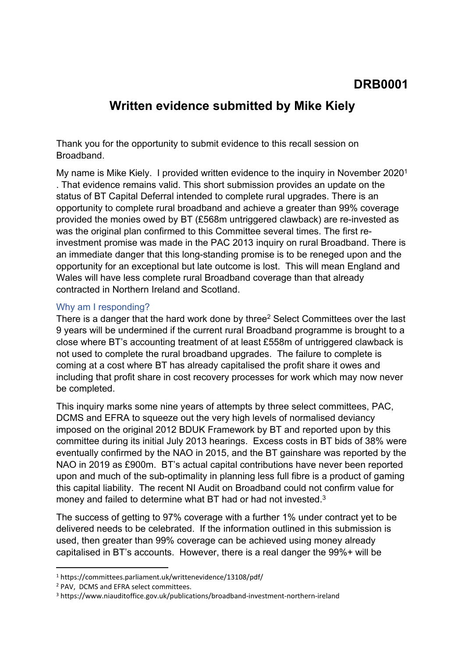## **DRB0001**

# **Written evidence submitted by Mike Kiely**

Thank you for the opportunity to submit evidence to this recall session on Broadband.

My name is Mike Kiely. I provided written evidence to the inquiry in November 2020<sup>1</sup> . That evidence remains valid. This short submission provides an update on the status of BT Capital Deferral intended to complete rural upgrades. There is an opportunity to complete rural broadband and achieve a greater than 99% coverage provided the monies owed by BT (£568m untriggered clawback) are re-invested as was the original plan confirmed to this Committee several times. The first reinvestment promise was made in the PAC 2013 inquiry on rural Broadband. There is an immediate danger that this long-standing promise is to be reneged upon and the opportunity for an exceptional but late outcome is lost. This will mean England and Wales will have less complete rural Broadband coverage than that already contracted in Northern Ireland and Scotland.

### Why am I responding?

There is a danger that the hard work done by three<sup>2</sup> Select Committees over the last 9 years will be undermined if the current rural Broadband programme is brought to a close where BT's accounting treatment of at least £558m of untriggered clawback is not used to complete the rural broadband upgrades. The failure to complete is coming at a cost where BT has already capitalised the profit share it owes and including that profit share in cost recovery processes for work which may now never be completed.

This inquiry marks some nine years of attempts by three select committees, PAC, DCMS and EFRA to squeeze out the very high levels of normalised deviancy imposed on the original 2012 BDUK Framework by BT and reported upon by this committee during its initial July 2013 hearings. Excess costs in BT bids of 38% were eventually confirmed by the NAO in 2015, and the BT gainshare was reported by the NAO in 2019 as £900m. BT's actual capital contributions have never been reported upon and much of the sub-optimality in planning less full fibre is a product of gaming this capital liability. The recent NI Audit on Broadband could not confirm value for money and failed to determine what BT had or had not invested.<sup>3</sup>

The success of getting to 97% coverage with a further 1% under contract yet to be delivered needs to be celebrated. If the information outlined in this submission is used, then greater than 99% coverage can be achieved using money already capitalised in BT's accounts. However, there is a real danger the 99%+ will be

<sup>1</sup> https://committees.parliament.uk/writtenevidence/13108/pdf/

<sup>2</sup> PAV, DCMS and EFRA select committees.

<sup>3</sup> https://www.niauditoffice.gov.uk/publications/broadband-investment-northern-ireland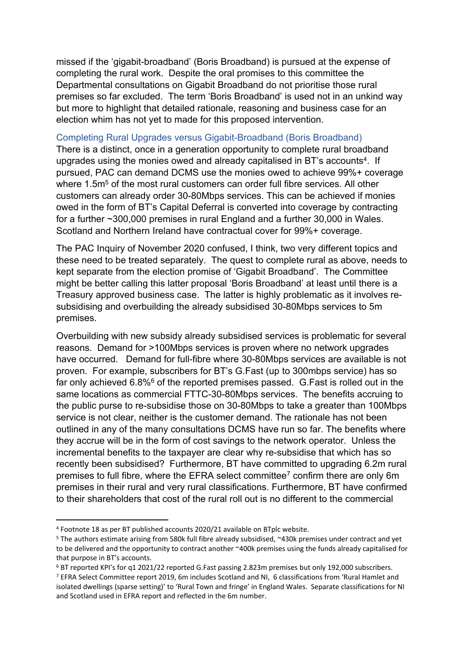missed if the 'gigabit-broadband' (Boris Broadband) is pursued at the expense of completing the rural work. Despite the oral promises to this committee the Departmental consultations on Gigabit Broadband do not prioritise those rural premises so far excluded. The term 'Boris Broadband' is used not in an unkind way but more to highlight that detailed rationale, reasoning and business case for an election whim has not yet to made for this proposed intervention.

#### Completing Rural Upgrades versus Gigabit-Broadband (Boris Broadband)

There is a distinct, once in a generation opportunity to complete rural broadband upgrades using the monies owed and already capitalised in BT's accounts<sup>4</sup>. If pursued, PAC can demand DCMS use the monies owed to achieve 99%+ coverage where 1.5m<sup>5</sup> of the most rural customers can order full fibre services. All other customers can already order 30-80Mbps services. This can be achieved if monies owed in the form of BT's Capital Deferral is converted into coverage by contracting for a further ~300,000 premises in rural England and a further 30,000 in Wales. Scotland and Northern Ireland have contractual cover for 99%+ coverage.

The PAC Inquiry of November 2020 confused, I think, two very different topics and these need to be treated separately. The quest to complete rural as above, needs to kept separate from the election promise of 'Gigabit Broadband'. The Committee might be better calling this latter proposal 'Boris Broadband' at least until there is a Treasury approved business case. The latter is highly problematic as it involves resubsidising and overbuilding the already subsidised 30-80Mbps services to 5m premises.

Overbuilding with new subsidy already subsidised services is problematic for several reasons. Demand for >100Mbps services is proven where no network upgrades have occurred. Demand for full-fibre where 30-80Mbps services are available is not proven. For example, subscribers for BT's G.Fast (up to 300mbps service) has so far only achieved 6.8%<sup>6</sup> of the reported premises passed. G.Fast is rolled out in the same locations as commercial FTTC-30-80Mbps services. The benefits accruing to the public purse to re-subsidise those on 30-80Mbps to take a greater than 100Mbps service is not clear, neither is the customer demand. The rationale has not been outlined in any of the many consultations DCMS have run so far. The benefits where they accrue will be in the form of cost savings to the network operator. Unless the incremental benefits to the taxpayer are clear why re-subsidise that which has so recently been subsidised? Furthermore, BT have committed to upgrading 6.2m rural premises to full fibre, where the EFRA select committee<sup>7</sup> confirm there are only 6m premises in their rural and very rural classifications. Furthermore, BT have confirmed to their shareholders that cost of the rural roll out is no different to the commercial

<sup>4</sup> Footnote 18 as per BT published accounts 2020/21 available on BTplc website.

<sup>5</sup> The authors estimate arising from 580k full fibre already subsidised, ~430k premises under contract and yet to be delivered and the opportunity to contract another ~400k premises using the funds already capitalised for that purpose in BT's accounts.

<sup>6</sup> BT reported KPI's for q1 2021/22 reported G.Fast passing 2.823m premises but only 192,000 subscribers.

<sup>7</sup> EFRA Select Committee report 2019, 6m includes Scotland and NI, 6 classifications from 'Rural Hamlet and isolated dwellings (sparse setting)' to 'Rural Town and fringe' in England Wales. Separate classifications for NI and Scotland used in EFRA report and reflected in the 6m number.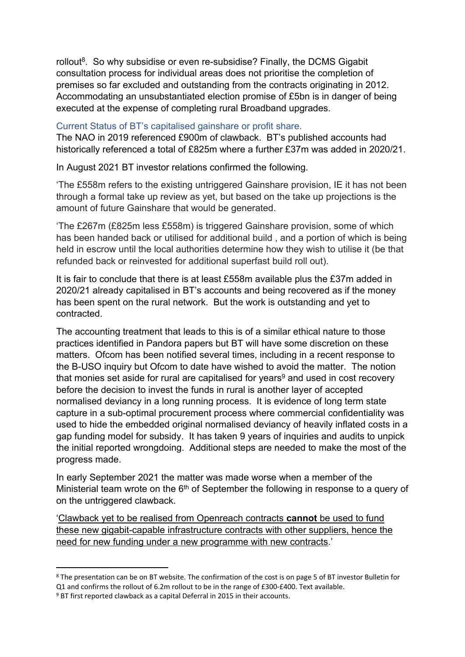rollout<sup>8</sup>. So why subsidise or even re-subsidise? Finally, the DCMS Gigabit consultation process for individual areas does not prioritise the completion of premises so far excluded and outstanding from the contracts originating in 2012. Accommodating an unsubstantiated election promise of £5bn is in danger of being executed at the expense of completing rural Broadband upgrades.

### Current Status of BT's capitalised gainshare or profit share.

The NAO in 2019 referenced £900m of clawback. BT's published accounts had historically referenced a total of £825m where a further £37m was added in 2020/21.

In August 2021 BT investor relations confirmed the following.

'The £558m refers to the existing untriggered Gainshare provision, IE it has not been through a formal take up review as yet, but based on the take up projections is the amount of future Gainshare that would be generated.

'The £267m (£825m less £558m) is triggered Gainshare provision, some of which has been handed back or utilised for additional build , and a portion of which is being held in escrow until the local authorities determine how they wish to utilise it (be that refunded back or reinvested for additional superfast build roll out).

It is fair to conclude that there is at least £558m available plus the £37m added in 2020/21 already capitalised in BT's accounts and being recovered as if the money has been spent on the rural network. But the work is outstanding and yet to contracted.

The accounting treatment that leads to this is of a similar ethical nature to those practices identified in Pandora papers but BT will have some discretion on these matters. Ofcom has been notified several times, including in a recent response to the B-USO inquiry but Ofcom to date have wished to avoid the matter. The notion that monies set aside for rural are capitalised for years<sup>9</sup> and used in cost recovery before the decision to invest the funds in rural is another layer of accepted normalised deviancy in a long running process. It is evidence of long term state capture in a sub-optimal procurement process where commercial confidentiality was used to hide the embedded original normalised deviancy of heavily inflated costs in a gap funding model for subsidy. It has taken 9 years of inquiries and audits to unpick the initial reported wrongdoing. Additional steps are needed to make the most of the progress made.

In early September 2021 the matter was made worse when a member of the Ministerial team wrote on the  $6<sup>th</sup>$  of September the following in response to a query of on the untriggered clawback.

'Clawback yet to be realised from Openreach contracts **cannot** be used to fund these new gigabit-capable infrastructure contracts with other suppliers, hence the need for new funding under a new programme with new contracts.'

<sup>8</sup> The presentation can be on BT website. The confirmation of the cost is on page 5 of BT investor Bulletin for Q1 and confirms the rollout of 6.2m rollout to be in the range of £300-£400. Text available.

<sup>9</sup> BT first reported clawback as a capital Deferral in 2015 in their accounts.